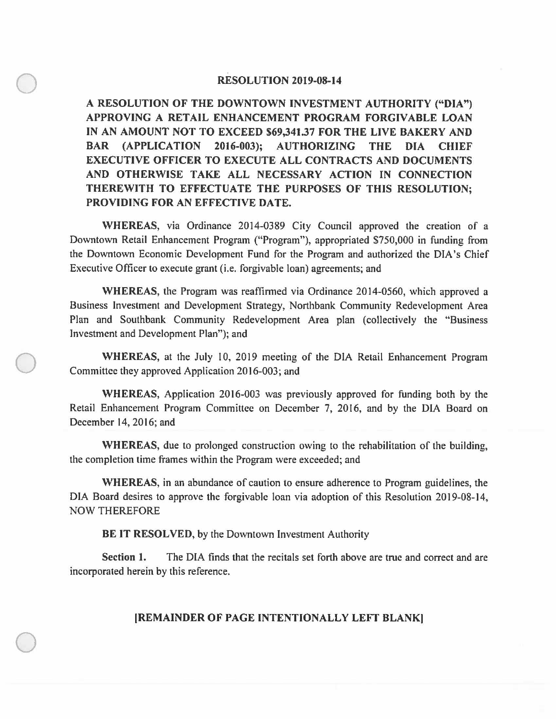## **RESOLUTION 2019-08-14**

 $\bigcirc$ 

 $\bigcirc$ 

 $\bigcirc$ 

**A RESOLUTION OF THE DOWNTOWN INVESTMENT AUTHORITY ("DIA") APPROVING A RETAIL ENHANCEMENT PROGRAM FORGIVABLE LOAN IN AN AMOUNT NOT TO EXCEED \$69,341.37 FOR THE LIVE BAKERY AND BAR (APPLICATION 2016-003); AUTHORIZING THE DIA CHIEF EXECUTIVE OFFICER TO EXECUTE ALL CONTRACTS AND DOCUMENTS AND OTHERWISE TAKE ALL NECESSARY ACTION IN CONNECTION THEREWITH TO EFFECTUATE THE PURPOSES OF THIS RESOLUTION; PROVIDING FOR AN EFFECTIVE DATE.** 

**WHEREAS,** via Ordinance 2014-0389 City Council approved the creation of a Downtown Retail Enhancement Program ("Program"), appropriated \$750,000 in funding from the Downtown Economic Development Fund for the Program and authorized the DIA's Chief Executive Officer to execute grant (i.e. forgivable loan) agreements; and

**WHEREAS,** the Program was reaffirmed via Ordinance 2014-0560, which approved a Business Investment and Development Strategy, Northbank Community Redevelopment Area Plan and Southbank Community Redevelopment Area plan (collectively the "Business Investment and Development Plan"); and

**WHEREAS,** at the July 10, 2019 meeting of the DIA Retail Enhancement Program Committee they approved Application 2016-003; and

**WHEREAS,** Application 2016-003 was previously approved for funding both by the Retail Enhancement Program Committee on December 7, 2016, and by the DIA Board on December 14, 2016; and

**WHEREAS,** due to prolonged construction owing to the rehabilitation of the building, the completion time frames within the Program were exceeded; and

**WHEREAS,** in an abundance of caution to ensure adherence to Program guidelines, the DIA Board desires to approve the forgivable loan via adoption of this Resolution 2019-08-14, NOW THEREFORE

**BE IT RESOLVED,** by the Downtown Investment Authority

**Section 1.** The DIA finds that the recitals set forth above are true and correct and are incorporated herein by this reference.

## **!REMAINDER OF PAGE INTENTIONALLY LEFT BLANK)**